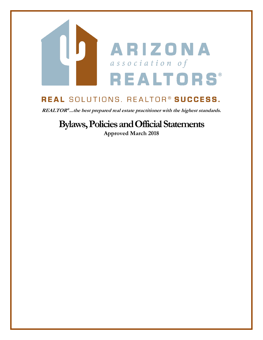

# REAL SOLUTIONS. REALTOR® SUCCESS.

**REALTOR ® ...the best prepared real estate practitioner with the highest standards.**

# **Bylaws, Policies and Official Statements**

**Approved March 2018**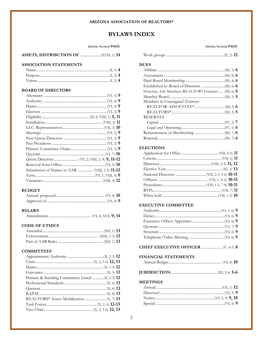#### **ARIZONA ASSOCIATION OF REALTORS®**

# **BYLAWS INDEX**

#### (Article, Section) PAGE

#### **ASSOCIATION STATEMENTS**

#### **BOARD OF DIRECTORS**

#### **BUDGET**

### **BYLAWS**

|--|--|--|--|--|--|--|

#### **CODE OF ETHICS**

# **COMMITTEES**

| Primary & Standing Committees Listed  (X, 2-3) 12 |  |
|---------------------------------------------------|--|
|                                                   |  |
|                                                   |  |
|                                                   |  |
|                                                   |  |
|                                                   |  |
|                                                   |  |

# **W** Honorary, Life Members, REALTOR® Emeritus ..... (III, 6) 6 Members in Unassigned Territory **RESERVES ELECTIONS EXECUTIVE COMMITTEE** CHIEF EXECUTIVE OFFICER ....................... (V, 4-5) 8 **FINANCIAL STATEMENTS MEETINGS**

#### (Article, Section) PAGE

# **DUES**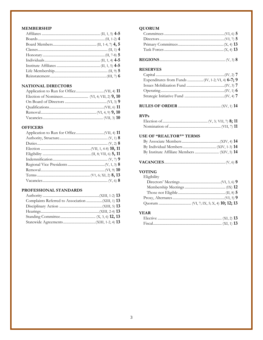#### **MEMBERSHIP**

# NATIONAL DIRECTORS

| <b>OFFICERS</b> |  |
|-----------------|--|
|                 |  |
|                 |  |
|                 |  |
|                 |  |
|                 |  |
|                 |  |
|                 |  |
|                 |  |
|                 |  |
|                 |  |
|                 |  |

# PROFESSIONAL STANDARDS

# **QUORUM**

#### **RESERVES**

# 

#### **RVPs**

 $\sim$ 

### **USE OF "REALTOR®" TERMS**

|--|--|--|--|--|

#### **VOTING** Elicibili

| Eligibility |  |
|-------------|--|
|             |  |
|             |  |
|             |  |
|             |  |
|             |  |

#### **YEAR**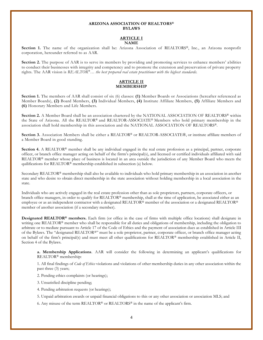#### **ARIZONA ASSOCIATION OF REALTORS® BYLAWS**

#### **ARTICLE I NAME**

**Section 1.** The name of the organization shall be: Arizona Association of REALTORS®, Inc., an Arizona nonprofit corporation, hereunder referred to as AAR.

**Section 2.** The purpose of AAR is to serve its members by providing and promoting services to enhance members' a bilities to conduct their businesses with integrity and competency and to promote the extension and preservation of private property rights. The AAR vision is *REALTOR®… the best prepared real estate practitioner with the highest standards.*

#### **ARTICLE II MEMBERSHIP**

**Section 1.** The members of AAR shall consist of six (6) classes: **(1)** Member Boards or Associations (hereafter referenced as Member Boards), **(2)** Board Members, **(3)** Individual Members, **(4)** Institute Affiliate Members, **(5)** Affiliate Members and **(6)** Honorary Members and Life Members.

**Section 2.** A Member Board shall be an association chartered by the NATIONAL ASSOCIATION OF REALTORS® within the State of Arizona. All the REALTOR® and REALTOR-ASSOCIATE® Members who hold primary membership in the association shall hold membership in this association and the NATIONAL ASSOCIATION OF REALTORS®.

Section 3. Association Members shall be either a REALTOR® or REALTOR-ASSOCIATE®, or institute affiliate members of a Member Board in good standing.

**Section 4.** A REALTOR® member shall be any individual engaged in the real estate profession as a principal, partner, corporate officer, or branch office manager acting on behalf of the firrm's principal(s), and licensed or certified individuals affiliated with said REALTOR® member whose place of business is located in an area outside the jurisdiction of any Member Board who meets the quilifications for REALTOR® membership established in subsection (a) below.

Secondary REALTOR® membership shall also be available to individuals who hold primary membership in an association in another state and who desire to obtain direct membership in the state association without holding membership in a local association in the state.

Individuals who are actively engaged in the real estate profession other than as sole proprietors, partners, corporate officers, or branch office managers, in order to qualify for REALTOR® membership, shall at the time of application, be associated either as an employee or as an independent contractor with a designated REALTOR® member of the association or a designated REALTOR® member of another association (if a secondary member).

**Designated REALTOR® members.** Each firm (or office in the case of firms with multiple office locations) shall designate in writing one REALTOR<sup>®</sup> member who shall be responsible for all duties and obligations of membership, including the obligation to arbitrate or to mediate pursuant to Article 17 of the Code of Ethics and the payment of association dues as established in Article III of the Bylaws. The "designated REALTOR®" must be a sole proprietor, partner, corporate officer, or branch office manager acting on behalf of the firm's principal(s) and must meet all other qualifications for REALTOR® membership established in Article II, Section 4 of the Bylaws.

**a. Membership Applications**. AAR will consider the following in determining an applicant's qualifications for REALTOR® membership:

1. All final findings of *Code of Ethics* violations and violations of other membership duties in any other association within the past three (3) years;

2. Pending ethics complaints (or hearings);

- 3. Unsatisfied discipline pending;
- 4. Pending arbitration requests (or hearings);
- 5. Unpaid arbitration awards or unpaid financial obligations to this or any other association or association MLS; and

6. Any misuse of the term REALTOR® or REALTORS® in the name of the applicant's firm.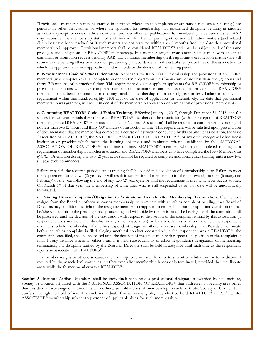"Provisional" membership may be granted in instances where ethics complaints or arbitration requests (or hearings) are pending in other associations or where the applicant for membership has unsatisfied discipline pending in another association (except for code of ethics violations), provided all other qualifications for membership have been satisfied. AAR may reconsider the membership status of such individuals when all pending ethics and arbitration matters (and related discipline) have been resolved or if such matters are not resolved within six (6) months from the date that provisional membership is approved. Provisional members shall be considered REALTORS® and shall be subject to all of the same privileges and obligations of REALTOR® membership. If a member resigns from another association with an ethics complaint or arbitration request pending, AAR may condition membership on the applicant's certification that he/she will submit to the pending ethics or arbitration proceeding (in accordance with the established procedures of the association to which the applicant has made application) and will abide by the decision of the hearing panel.

**b. New Member Code of Ethics Orientation.** Applicants for REALTOR® membership and provisional REALTOR® members (where applicable) shall complete an orientation program on the *Code of Ethics* of not less than two (2) hours and thirty (30) minutes of instructional time. This requirement does not apply to applicants for REALTOR® membership or provisional members who have completed comparable orientation in another association, provided that REALTOR® membership has been continuous, or that any break in membership is for one (1) year or less. Failure to satisfy this requirement within one hundred eighty (180) days of the date of application (or, alternatively, the date that provisional membership was granted), will result in denial of the membership application or termination of provisional membership.

**c. Continuing REALTOR® Code of Ethics Training.** Effective January 1, 2017, through December 31, 2018, and for successive two year periods thereafter, each REALTOR® members of the association (with the exception of REALTOR® members granted REALTOR® Emeritus status by the National Association) shall be required to complete ethics training of not less than two (2) hours and thirty (30) minutes of instructional time. This requirement will be satisfied upon presentation of documentation that the member has completed a course of instruction conducted by this or another association, the State Association of REALTORS®, the NATIONAL ASSOCIATION OF REALTORS®, or any other recognized educational institution or provider which meets the learning objectives and minimum criteria established by the NATIONAL ASSOCIATION OF REALTORS® from time to time. REALTOR® members who have completed training as a requirement of membership in another association and REALTOR® members who have completed the New Member *Code of Ethics* Orientation during any two (2) year cycle shall not be required to complete additional ethics training until a new two (2) year cycle commences.

Failure to satisfy the required periodic ethics training shall be considered a violation of a membership duty. Failure to meet the requirement for any two (2) year cycle will result in suspension of membership for the first two (2) months (January and February) of the year following the end of any two (2) year cycle or until the requirement is met, whichever occurs sooner. On March 1st of that year, the membership of a member who is still suspended as of that date will be automatically terminated.

**d. Pending Ethics Complaint/Obligation to Arbitrate or Mediate after Membership Termination.** If a member resigns from the Board or otherwise causes membership to terminate with an ethics complaint pending, that Board of Directors may condition the right of the resigning member to reapply for membership upon the applicant's certification that he/she will submit to the pending ethics proceeding and will abide by the decision of the hearing panel the complaint shall be processed until the decision of the association with respect to disposition of the complaint is final by this association (if respondent does not hold membership in any other association) or by any other association in which the respondent continues to hold membership. If an ethics respondent resigns or otherwise causes membership in all Boards to terminate before an ethics complaint is filed alleging unethical conduct occurred while the respondent was a REALTOR®, the complaint, once filed, shall be processed until the decision of the association with respect to disposition of the complaint is final. In any instance where an ethics hearing is held subsequent to an ethics respondent's resignation or membership termination, any discipline ratified by the Board of Directors shall be held in abeyance until such time as the respondent rejoins an association of REALTORS®.

If a member resigns or otherwise causes membership to terminate, the duty to submit to arbitration (or to mediation if required by the association) continues in effect even after membership lapses or is terminated, provided that the dispute arose while the former member was a REALTOR®.

**Section 5.** Institute Affiliate Members shall be individuals who hold a professional designation awarded by an Institute, Society or Council affiliated with the NATIONAL ASSOCIATION OF REALTORS® that addresses a specialty area other than residential brokerage or individuals who otherwise hold a class of membership in such Institute, Society or Council that confers the right to hold office. Any such individual, if otherwise eligible, may elect to hold REALTOR® or REALTOR-ASSOCIATE® membership subject to payment of applicable dues for such membership.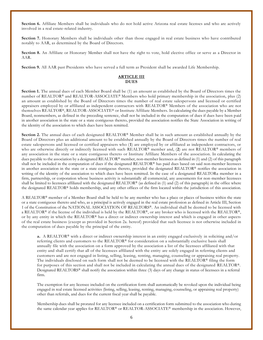**Section 6.** Affiliate Members shall be individuals who do not hold active Arizona real estate licenses and who are actively involved in a real estate-related industry.

**Section 7.** Honorary Members shall be individuals other than those engaged in real estate business who have contributed notably to AAR, as determined by the Board of Directors.

**Section 8.** An Affiliate or Honorary Member shall not have the right to vote, hold elective office or serve as a Director in AAR.

**Section 9.** All AAR past Presidents who have served a full term as President shall be awarded Life Membership.

#### **ARTICLE III DUES**

**Section 1.** The annual dues of each Member Board shall be (1) an amount as established by the Board of Directors times the number of REALTOR® and REALTOR-ASSOCIATE® Members who hold primary membership in the association, plus (2) an amount as established by the Board of Directors times the number of real estate salespersons and licensed or certified appraisers employed by or affiliated as independent contractors with REALTOR® Members of the association who are not themselves REALTOR®, REALTOR-ASSOCIATE® or Institute Affiliate Members. In calculating the dues payable by a Member Board, nonmembers, as defined in the preceding sentence, shall not be included in the computation of dues if dues have been paid in another association in the state or a state contiguous thereto, provided the association notifies the State Association in writing of the identity of the association to which dues have been remitted.

**Section 2.** The annual dues of each designated REALTOR® Member shall be in such amount as established annually by the Board of Directors plus an additional amount to be established annually by the Board of Directors times the number of real estate salespersons and licensed or certified appraisers who (**1**) are employed by or affiliated as independent contractors, or who are otherwise directly or indirectly licensed with such REALTOR® member and, (**2**) are not REALTOR® members of any association in the state or a state contiguous thereto or Institute Affiliate Members of the association. In calculating the dues payable to the association by a designated REALTOR® member, non-member licensees as defined in (1) and (2) of this paragraph shall not be included in the computation of dues if the designated REALTOR® has paid dues based on said non-member licensees in another association in the state or a state contiguous thereto, provided the designated REALTOR® notifies the association in writing of the identity of the association to which dues have been remitted. In the case of a designated REALTOR® member in a firm, partnership, or corporation whose business activity is substantially all commercial, any assessments for non-member licensees shall be limited to licensees affiliated with the designated REALTOR® (as defined in  $(1)$  and  $(2)$  of this paragraph) in the office where the designated REALTOR® holds membership, and any other offices of the firm located within the jurisdiction of this association.

A REALTOR® member of a Member Board shall be held to be any member who has a place or places of business within the state or a state contiguous thereto and who, as a principal is actively engaged in the real estate profession as defined in Article III, Section 1 of the Constitution of the NATIONAL ASSOCIATION OF REALTORS®. An individual shall be deemed to be licensed with a REALTOR® if the license of the individual is held by the REALTOR®, or any broker who is licensed with the REALTOR®, or by any entity in which the REALTOR® has a direct or indirect ownership interest and which is engaged in other aspects of the real estate business (except as provided in Section 2a. hereof) provided that such licensee is not otherwise included in the computation of dues payable by the principal of the entity.

**a.** A REALTOR® with a direct or indirect ownership interest in an entity engaged exclusively in soliciting and/or referring clients and customers to the REALTOR® for consideration on a substantially exclusive basis shall annually file with the association on a form approved by the association a list of the licensees affiliated with that entity and shall certify that all of the licensees affiliated with the entity are solely engaged in referring clients and customers and are not engaged in listing, selling, leasing, renting, managing, counseling or appraising real property. The individuals disclosed on such form shall not be deemed to be licensed with the REALTOR® filing the form for purposes of this section and shall not be included in calculating the annual dues of the designated REALTOR®. Designated REALTORS® shall notify the association within three (3) days of any change in status of licensees in a referral firm.

The exemption for any licensee included on the certification form shall automatically be revoked upon the individual being engaged in real estate licensed activities (listing, selling, leasing, renting, managing, counseling, or appraising real property) other than referrals, and dues for the current fiscal year shall be payable.

Membership dues shall be prorated for any licensee included on a certification form submitted to the association who during the same calendar year applies for REALTOR® or REALTOR-ASSOCIATE® membership in the association. However,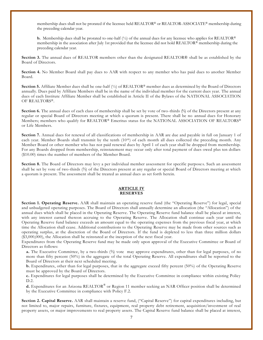membership dues shall not be prorated if the licensee held REALTOR® or REALTOR-ASSOCIATE® membership during the preceding calendar year.

**b.** Membership dues shall be prorated to one-half  $\binom{1}{2}$  of the annual dues for any licensee who applies for REALTOR<sup>®</sup> membership in the association after July 1st provided that the licensee did not hold REALTOR® membership during the preceding calendar year.

**Section 3.** The annual dues of REALTOR members other than the designated REALTOR® shall be as established by the Board of Directors.

**Section 4.** No Member Board shall pay dues to AAR with respect to any member who has paid dues to another Member Board.

**Section 5.** Affiliate Member dues shall be one-half (½) of REALTOR® member dues as determined by the Board of Directors annually. Dues paid by Affiliate Members shall be in the name of the individual member for the current dues year. The annual dues of each Institute Affiliate Member shall be established in Article II of the Bylaws of the NATIONAL ASSOCIATION OF REALTORS®.

**Section 6.** The annual dues of each class of membership shall be set by vote of two-thirds (⅔) of the Directors present at any regular or special Board of Directors meeting at which a quorum is present. There shall be no annual dues for Honorary Members; members who qualify for REALTOR® Emeritus status for the NATIONAL ASSOCIATION OF REALTORS® or Life Members.

**Section 7.** Annual dues for renewal of all classifications of membership in AAR are due and payable in full on January 1 of each year. Member Boards shall transmit by the tenth  $(10<sup>th</sup>)$  of each month all dues collected the preceding month. Any Member Board or other member who has not paid renewal dues by April 1 of each year shall be dropped from membership. For any Boards dropped from membership, reinstatement may occur only after total payment of dues owed plus ten dollars (\$10.00) times the number of members of the Member Board.

**Section 8.** The Board of Directors may levy a per individual member assessment for specific purposes. Such an assessment shall be set by vote of two-thirds (⅔) of the Directors present at any regular or special Board of Directors meeting at which a quorum is present. The assessment shall be treated as annual dues as set forth herein.

#### **ARTICLE IV RESERVES**

**Section 1. Operating Reserve.** AAR shall maintain an operating reserve fund (the "Operating Reserve") for legal, special and unbudgeted operating purposes. The Board of Directors shall annually determine an allocation (the "Allocation") of the annual dues which shall be placed in the Operating Reserve. The Operating Reserve fund balance shall be placed at interest, with any interest earned thereon accruing to the Operating Reserve. The Allocation shall continue each year until the Operating Reserve fund balance exceeds an amount equal to the operating expenses from the previous fiscal year, at which time the Allocation shall cease. Additional contributions to the Operating Reserve may be made from other sources such as operating surplus, at the discretion of the Board of Directors. If the fund is depleted to less than three million dollars (\$3,000,000), the Allocation shall be reinstated at the inception of the next fiscal year.

Expenditures from the Operating Reserve fund may be made only upon approval of the Executive Committee or Board of Directors as follows:

**a.** The Executive Committee, by a two-thirds (⅔) vote may approve expenditures, other than for legal purposes, of no more than fifty percent (50%) in the aggregate of the total Operating Reserve. All expenditures shall be reported to the Board of Directors at their next scheduled meeting.

**b.** Expenditures, other than for legal purposes, that in the aggregate exceed fifty percent (50%) of the Operating Reserve must be approved by the Board of Directors.

**c.** Expenditures for legal purposes shall be determined by the Executive Committee in compliance within existing Policy D.2.

**d.** Expenditures for an Arizona REALTOR® or Region 11 member seeking an NAR Officer position shall be determined by the Executive Committee in compliance with Policy F.2*.* 

**Section 2. Capital Reserve.** AAR shall maintain a reserve fund, ("Capital Reserve") for capital expenditures including, but not limited to, major repairs, furniture, fixtures, equipment, real property debt retirement, acquisition/investment of real property assets, or major improvements to real property assets. The Capital Reserve fund balance shall be placed at interest,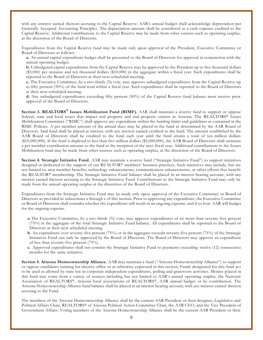with any interest earned thereon accruing to the Capital Reserve. AAR's annual budget shall acknowledge depreciation per Generally Accepted Accounting Principles. The depreciation amount shall be considered as a cash expense credited to the Capital Reserve. Additional contributions to the Capital Reserve may be made from other sources such as operating surplus, at the discretion of the Board of Directors.

Expenditures from the Capital Reserve fund may be made only upon approval of the President, Executive Committee or Board of Directors as follows:

**a.** An annual capital expenditure budget shall be presented to the Board of Directors for approval in conjunction with the annual operating budget.

**b.** Unbudgeted capital expenditures from the Capital Reserve may be approved by the President up to five thousand dollars (\$5,000) per instance and ten thousand dollars (\$10,000) in the aggregate within a fiscal year. Such expenditures shall be reported to the Board of Directors at their next scheduled meeting.

**c.** The Executive Committee, by a two-thirds (⅔) vote, may approve unbudgeted expenditures from the Capital Reserve up to fifty percent (50%) of the fund total within a fiscal year. Such expenditures shall be reported to the Board of Directors at their next scheduled meeting.

**d.** Any unbudgeted expenditures exceeding fifty percent (50%) of the Capital Reserve fund balance must receive prior approval of the Board of Directors.

**Section 3. REALTORS® Issues Mobilization Fund (RIMF).** AAR shall maintain a reserve fund to support or oppose federal, state and local issues that impact real property and real property owners in Arizona. The REALTORS® Issues Mobilization Committee ("RIMC") shall approve any expenditure within the funding limits and guidelines as contained in the RIMC Policies. A per member amount of the annual dues may be placed in the fund as determined by the AAR Board of Directors. Said fund shall be placed at interest, with any interest earned credited to the fund. The amount established by the AAR Board of Directors shall be credited to the fund each year until the fund attains a total of ten million dollars (\$10,000,000). If the fund is depleted to less than five million dollars (\$5,000,000), the AAR Board of Directors shall reinstate a per member contribution amount to the fund at the inception of the next fiscal year. Additional contributions to the Issues Mobilization fund may be made from other sources such as operating surplus, at the discretion of the Board of Directors.

**Section 4. Strategic Initiative Fund.** AAR may maintain a reserve fund ("Strategic Initiative Fund") to support initiatives designed or dedicated to the support of our REALTOR® members' business practices. Such initiatives may include, but are not limited to, new member benefits, technology enhancements, communication enhancements, or other efforts that benefit the REALTOR® membership. The Strategic Initiative Fund balance shall be placed in an interest bearing account, with any interest earned thereon accruing to the Strategic Initiative Fund. Contributions to the Strategic Initiative Fund may only be made from the annual operating surplus at the discretion of the Board of Directors.

Expenditures from the Strategic Initiative Fund may be made only upon approval of the Executive Committee or Board of Directors as provided in subsections a through c of this section. Prior to approving any expenditure, the Executive Committee or Board of Directors shall consider whether the expenditure will result in an ongoing expense, and if so how AAR will budget for the ongoing expense.

- **a.**The Executive Committee, by a two-thirds (⅔) vote, may approve expenditures of no more than seventy-five percent (75%) in the aggregate of the total Strategic Initiative Fund balance. All expenditures shall be reported to the Board of Directors at their next scheduled meeting.
- **b.** An expenditure over seventy-five percent (75%) or in the aggregate exceeds seventy-five percent (75%) of the Strategic Initiatives Fund can only be approved by the Board of Directors. The Board of Directors may approve an expenditure of less than seventy-five percent (75%).
- **c.** Approved expenditures shall not commit the Strategic Initiative Fund to payments exceeding twelve (12) consecutive months for the same initiative.

**Section 5. Arizona Homeownership Alliance.** AAR may maintain a fund ("Arizona Homeownership Alliance") to support or oppose candidates running for elective office or as otherwise expressed in this section. Funds designated for this fund ar e to be used as allowed by state law in corporate independent expenditures, polling and grassroots activities. Monies p laced in this fund may come from a variety of sources including but not limited to AAR's annual operating surplus, the National Association of REALTORS®, Arizona local associations of REALTORS®, AAR annual budget or by contribution. The Arizona Homeownership Alliance fund balance shall be placed in an interest bearing account, with any interest earned thereon accruing to the Fund.

The members of the Arizona Homeownership Alliance shall be the current AAR President or their designee, Legislative and Political Affairs Chair, REALTORS® of Arizona Political Action Committee Chair, the AAR CEO, and the Vice President of Government Affairs. Voting members of the Arizona Homeownership Alliance shall be the current AAR President or their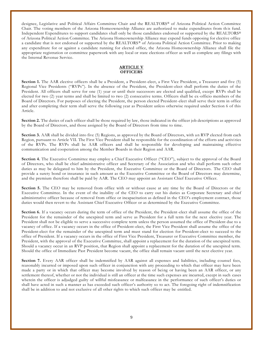designee, Legislative and Political Affairs Committee Chair and the REALTORS® of Arizona Political Action Committee Chair. The voting members of the Arizona Homeownership Alliance are authorized to make expenditures from th is fund. Independent Expenditures to support candidates shall only be those candidates endorsed or supported by the REALTORS® of Arizona Political Action Committee. The Arizona Homeownership Alliance may expend funds opposing for elective office a candidate that is not endorsed or supported by the REALTORS® of Arizona Political Action Committee. Prior to making any expenditure for or against a candidate running for elected office, the Arizona Homeownership Alliance shall file the appropriate registration or committee paperwork with any local or state elections officer as well as complete any filings with the Internal Revenue Service.

#### **ARTICLE V OFFICERS**

**Section 1.** The AAR elective officers shall be a President, a President-elect, a First Vice President, a Treasurer and five (5) Regional Vice Presidents ("RVPs"). In the absence of the President, the President-elect shall perform the duties of the President. All officers shall serve for one (1) year or until their successors are elected and qualified, except RVPs shall be elected for two (2) year terms and shall be limited to two (2) consecutive terms. Officers shall be ex-officio members of the Board of Directors. For purposes of electing the President, the person elected President-elect shall serve their term in office and after completing their term shall serve the following year as President unless otherwise required under Section 6 of this Article.

**Section 2.** The duties of each officer shall be those required by law, those indicated in the officer job descriptions as approved by the Board of Directors, and those assigned by the Board of Directors from time to time.

**Section 3.** AAR shall be divided into five (5) Regions, as approved by the Board of Directors, with an RVP elected from each Region, pursuant to Article VII. The First Vice President shall be responsible for the coordination of the efforts and activi ties of the RVPs. The RVPs shall be AAR officers and shall be responsible for developing and maintaining effective communication and cooperation among the Member Boards in their Region and AAR.

**Section 4.** The Executive Committee may employ a Chief Executive Officer ("CEO"), subject to the approval of the Board of Directors, who shall be chief administrative officer and Secretary of the Association and who shall perform such other duties as may be delegated to him by the President, the Executive Committee or the Board of Directors. The CEO shall provide a surety bond or insurance in such amount as the Executive Committee or the Board of Directors may determine, and the premium therefore shall be paid by AAR. The CEO may appoint an Assistant Chief Executive Officer.

**Section 5.** The CEO may be removed from office with or without cause at any time by the Board of Directors or the Executive Committee. In the event of the inability of the CEO to carry out his duties as Corporate Secretary and chief administrative officer because of removal from office or incapacitation as defined in the CEO's employment contract, those duties would then revert to the Assistant Chief Executive Officer or as determined by the Executive Committee.

**Section 6.** If a vacancy occurs during the term of office of the President, the President-elect shall assume the office of the President for the remainder of the unexpired term and serve as President for a full term for the next elective year. The President shall not be eligible to serve a successive complete term unless the person assumed the office of President due to a vacancy of office. If a vacancy occurs in the office of President-elect, the First Vice President shall assume the office of the President-elect for the remainder of the unexpired term and must stand for election for President-elect to succeed to the office of President. If a vacancy occurs in the office of First Vice President, Treasurer or Executive Committee member, the President, with the approval of the Executive Committee, shall appoint a replacement for the duration of the unexpired term. Should a vacancy occur in an RVP position, that Region shall appoint a replacement for the duration of the unexpired term. Should the office of Immediate Past President become vacant, the office shall remain vacant until the next elective year.

**Section 7.** Every AAR officer shall be indemnified by AAR against all expenses and liabilities, including counsel fees, reasonably incurred or imposed upon such officer in conjunction with any proceeding to which that officer may have been made a party or in which that officer may become involved by reason of being or having been an AAR officer, or any settlement thereof, whether or not the individual is still an officer at the time such expenses are incurred, except in such cases wherein the officer is adjudged guilty of willful misfeasance or malfeasance in the performance of such officer's duties or shall have acted in such a manner as has exceeded such officer's authority so to act. The foregoing right of indemnification shall be in addition to and not exclusive of all other rights to which such officer may be entitled.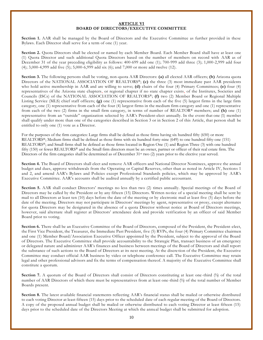#### **ARTICLE VI BOARD OF DIRECTORS/EXECUTIVE COMMITTEE**

**Section 1.** AAR shall be managed by the Board of Directors and the Executive Committee as further provided in these Bylaws. Each Director shall serve for a term of one (1) year.

**Section 2.** Quota Directors shall be elected or named by each Member Board. Each Member Board shall have at least one (1) Quota Director and such additional Quota Directors based on the number of members on record with AAR as of December 31 of the year preceding eligibility as follows: 400-699 add one (1); 700-999 add three (3); 1,000-2,999 add four (4); 3,000-4,999 add five (5); 5,000-6,999 add six (6); and 7,000 or more add twelve (12).

**Section 3.** The following persons shall be voting, non-quota AAR Directors: **(a)** all elected AAR officers; **(b)** Arizona quota Directors of the NATIONAL ASSOCIATION OF REALTORS®; **(c)** the three (3) most immediate past AAR presidents who hold active membership in AAR and are willing to serve; **(d)** chairs of the four (4) Primary Committees; **(e)** four (4) representatives of the Arizona state chapters, or regional chapter if no state chapter exists, of the Institutes, Societies and Councils (ISCs) of the NATIONAL ASSOCIATION OF REALTORS ®; **(f)** two (2) Member Board or Regional Multiple Listing Service (MLS) chief staff officers; **(g)** one (1) representative from each of the five (5) largest firms in the large firm category, one (1) representative from each of the four (4) largest firms in the medium firm category and one (1) representative from each of the two (2) firms in the small firm category, in terms of number of REALTOR® members; and **(h)** one (1) representative from an "outside" organization selected by AAR's President-elect annually. In the event that one (1) member shall qualify under more than one of the categories described in Section 3 or in Section 2 of this Article, that person shall be entitled to only one (1) vote as a Director.

For the purposes of the firm categories: Large firms shall be defined as those firms having six hundred fifty (650) or more REALTORS®; Medium firms shall be defined as those firms with six hundred forty-nine (649) to one hundred fifty-one (151) REALTORS®; and Small firms shall be defined as those firms located in Region One (1) and Region Three (3) with one hundred fifty (150) or fewer REALTORS® and the Small firm directors must be an owner, partner or officer of their real estate firm. The Directors of the firm categories shall be determined as of December 31<sup>st</sup> two (2) years prior to the elective year served.

**Section 4.** The Board of Directors shall elect and remove AAR officers and National Director Nominees, approve the annual budget and dues, approve withdrawals from the Operating or Capital Reserves, other than as noted in Article IV, Sections 1 and 2, and amend AAR's Bylaws and Policies except Professional Standards policies, which may be approved by AAR's Executive Committee. AAR's accounts shall be audited annually by a certified public accountant.

**Section 5.** AAR shall conduct Directors' meetings no less than two (2) times annually. Special meetings of the Board of Directors may be called by the President or by any fifteen (15) Directors. Written notice of a special meeting shall be sent by mail to all Directors at least ten (10) days before the date of the meeting or by electronic mail at least five (5) days before the date of the meeting. Directors may not participate in Directors' meetings by agent, representative or proxy, except alternates for quota Directors may be designated in the absence of a quota Director without notice at Board of Directors meetings, however, said alternate shall register at Directors' attendance desk and provide verification by an officer of said Member Board prior to voting.

**Section 6.** There shall be an Executive Committee of the Board of Directors, composed of the President, the President-elect, the First Vice President, the Treasurer, the Immediate Past President, five (5) RVPs, the four (4) Primary Committee chairmen and one (1) Member Board/Association Executive Officer appointed by the President, subject to the approval of the Board of Directors. The Executive Committee shall provide accountability to the Strategic Plan, transact business of an emergency or delegated nature and administer AAR's finances and business between meetings of the Board of Directors and shall report the substance of such actions to the Board of Directors at its next meeting. At the discre tion of the President, the Executive Committee may conduct official AAR business by video or telephone conference call. The Executive Committee may retain legal and other professional advisors and fix the terms of compensation thereof. A majority of the Executive Committee shall constitute a quorum.

Section 7. A quorum of the Board of Directors shall consist of Directors constituting at least one-third (⅓) of the total number of AAR Directors of which there must be representatives from at least one-third (⅓) of the total number of Member Boards present.

Section 8. The latest available financial statements reflecting AAR's financial status shall be mailed or otherwise distributed to each voting Director at least fifteen (15) days prior to the scheduled date of each regular meeting of the Board of Directors. A copy of the proposed annual budget shall be mailed or otherwise distributed to each voting Director at least fifteen (15) days prior to the scheduled date of the Directors Meeting at which the annual budget shall be submitted for adoption.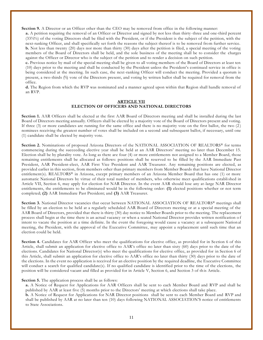**Section 9.** A Director or an Officer other than the CEO may be removed from office in the following manner:

**a.** A petition requiring the removal of an Officer or Director and signed by not less than thirty -three and one-third percent (33⅓%) of the voting Directors shall be filed with the President, or if the President is the subject of the petition, with the next-ranking Officer, and shall specifically set forth the reasons the subject thereof is to be removed from further service. **b.** Not less than twenty (20) days nor more than thirty (30) days after the petition is filed, a special meeting of the voting members of the Board of Directors shall be held, and the sole business of the meeting shall be to consider the charges against the Officer or Director who is the subject of the petition and to render a decision on such petition.

**c.** Previous notice by mail of the special meeting shall be given to all voting members of the Board of Directors at least ten (10) days prior to the meeting and shall be conducted by the President unless the President's continued service in office is being considered at the meeting. In such case, the next-ranking Officer will conduct the meeting. Provided a quorum is present, a two-thirds (⅔) vote of the Directors present, and voting by written ballot shall be required for removal from the office.

**d.** The Region from which the RVP was nominated and a manner agreed upon within that Region shall handle removal of an RVP.

#### **ARTICLE VII ELECTION OF OFFICERS AND NATIONAL DIRECTORS**

**Section 1.** AAR Officers shall be elected at the first AAR Board of Directors meeting and shall be installed during the last Board of Directors meeting annually. Officers shall be elected by a majority vote of the Board of Directors present and voting. If three (3) or more candidates are running for the same office and there is no majority vote on the first ballot, the two (2 ) nominees receiving the greatest number of votes shall be included on a second and subsequent ballot, if necessary, until one (1) candidate shall be elected by majority vote.

**Section 2.** Nominations of proposed Arizona Directors of the NATIONAL ASSOCIATION OF REALTORS® for terms commencing during the succeeding elective year shall be held at an AAR Directors' meeting no later than December 15. Election shall be by plurality vote. As long as there are four (4) or more entitlements not assigned to a Member Board, those remaining entitlements shall be allocated as follows: positions shall be reserved to be filled by the AAR Immediate Past President, AAR President-elect, AAR First Vice President and AAR Treasurer. Any remaining positions are elected, as provided earlier in this section, from members other than primary members from Member Boards that have National Director entitlement(s). REALTORS® in Arizona, except primary members of an Arizona Member Board that has one (1) or more automatic National Directors by virtue of their total number of members, who otherwise meet qualifications established in Article VII, Section 6, may apply for election for NAR Director. In the event AAR should lose any at-large NAR Director entitlements, the entitlements to be eliminated would be in the following order: **(1)** elected positions whether or not term completed; **(2)** AAR Immediate Past President; and **(3)** AAR Treasurer.

Section 3. National Director vacancies that occur between NATIONAL ASSOCIATION OF REALTORS® meetings shall be filled by an election to be held at a regularly scheduled AAR Board of Directors meeting or at a special meeting of the AAR Board of Directors, provided that there is thirty (30) day notice to Member Boards prior to the meeting. The replacement process shall begin at the time there is an actual vacancy or when a seated National Director provides written notification o f intent to vacate the position at a time definite. In the event the foregoing would cause a vacancy at a subsequent Nation al meeting, the President, with the approval of the Executive Committee, may appoint a replacement until such time that an election could be held.

**Section 4.** Candidates for AAR Officer who meet the qualifications for elective office, as provided for in Section 6 of this Article, shall submit an application for elective office to AAR's office no later than sixty (60) days prior to the date of the elections. Candidates for National Director(s) who meet the qualifications for elective office, as provided for in Section 6 of this Article, shall submit an application for elective office to AAR's office no later than thirty (30) days prior to the date of the elections. In the event no application is received for an elective position by the required deadline, the Executive Committee will conduct a search for qualified candidate(s). If no qualified candidate is identified prior to the time of the elections, the position will be considered vacant and filled as provided for in Article V, Section 6, and Section 3 of this Article.

#### **Section 5.** The application process shall be as follows:

**a.** A Notice of Request for Applications for AAR Officers shall be sent to each Member Board and RVP and shall be published by AAR at least five (5) months prior to the Directors' meeting at which elections shall take place.

**b.** A Notice of Request for Applications for NAR Director positions shall be sent to each Member Board and RVP and shall be published by AAR at no later than ten (10) days following NATIONAL ASSOCIATION'S notice of entitlements to State Associations.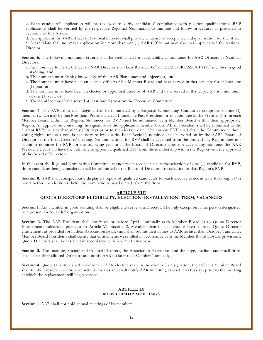**c.** Each candidate's application will be reviewed to verify candidates' compliance with position qualifications. RVP applications shall be verified by the respective Regional Nominating Committee and follow procedures as provided in Section 7 of this Article.

**d.** Any applicant for AAR Officer or National Director shall provide evidence of acceptance and qualification for the office. **e.** A candidate shall not make application for more than one (1) AAR Office but may also make application for National Director.

**Section 6.** The following minimum criteria shall be established for acceptability as nominees for AAR Officers or National Directors:

- a. Any nominee for AAR Officer or NAR Director shall be a REALTOR® or REALTOR-ASSOCIATE® member in good standing, **and**
- **b.** The nominee must display knowledge of the AAR Plan issues and objectives, **and**
- **c.** The nominee must have been an elected officer of his Member Board and have served in that capacity for at least one (1) year; **or**
- **d.** The nominee must have been an elected or appointed director of AAR and have served in that capacity for a minimum of one (1) year; **or**
- **e.** The nominee must have served at least one (1) year on the Executive Committee.

**Section 7.** The RVP from each Region shall be nominated by a Regional Nominating Committee comprised of one (1) member (which may be the: President, President-elect, Immediate Past President, or an appointee of the President) from each Member Board within the Region. Nominees for RVP must be nominated by a Member Board within their appropriate Region. An application containing the signature of the applicant's member board AE or President shall be submitted to the current RVP no later than ninety (90) days prior to the election date. The current RVP shall chair the Committee without voting rights, unless a vote is necessary to break a tie. Each Region's nominee shall be voted on by the AAR's Board of Directors at the first Directors' meeting. No nominations for RVP shall be accepted from the floor. If any Region does not submit a nominee for RVP for the following year or if the Board of Directors does not accept any nominee, the AAR President-elect shall have the authority to appoint a qualified RVP from the membership within the Region with the approval of the Board of Directors.

In the event the Regional Nominating Committee cannot reach a consensus in the selection of one (1) candidate for RVP, those candidates being considered shall be submitted to the Board of Directors for selection of that Region's RVP.

**Section 8.** AAR shall conspicuously display its report of qualified candidates for each elective office at least forty-eight (48) hours before the election is held. No nominations may be made from the floor.

#### **ARTICLE VIII**

#### **QUOTA DIRECTORS' ELIGIBILITY, ELECTION, INSTALLATION, TERM, VACANCIES**

**Section 1.** Any member in good standing shall be eligible to serve as a Director. The only exception is the person designated to represent an "outside" organization.

**Section 2.** The AAR President shall notify on or before April 1 annually each Member Board as to Quota Director Entitlements calculated pursuant to Article VI, Section 2. Member Boards shall choose their allotted Quota Director entitlements as provided for in their Association Bylaws and shall submit their names to AAR no later than October 1 annually . Member Board Presidents shall certify that entitlements were filled in accordance with the Member Board's Bylaw provisions. Quota Directors shall be installed in accordance with AAR's elective year.

**Section 3.** The Institute, Society and Council Chapters, the Association Executives and the large, medium and small firms shall select their allotted Directors and notify AAR no later than October 1 annually.

**Section 4.** Quota Directors shall serve for the AAR elective year. In the event of a resignation, the affected Member Board shall fill the vacancy in accordance with its Bylaws and shall notify AAR in writing at least ten (10) days prior to the meet ing at which the replacement will begin service.

#### **ARTICLE IX MEMBERSHIP MEETINGS**

**Section 1.** AAR shall not hold annual meetings of its members.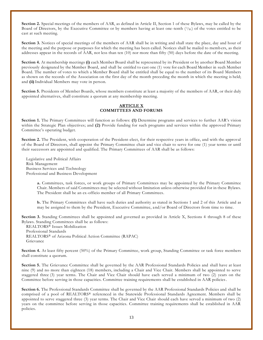**Section 2.** Special meetings of the members of AAR, as defined in Article II, Section 1 of these Bylaws, may be called by the Board of Directors, by the Executive Committee or by members having at least one-tenth  $(1/10)$  of the votes entitled to be cast at such meeting.

**Section 3.** Notices of special meetings of the members of AAR shall be in writing and shall state the place, day and hour of the meeting and the purpose or purposes for which the meeting has been called. Notices shall be mailed to memb ers, as their addresses appear in the records of AAR, not less than ten (10) nor more than fifty (50) days before the date of the meeting.

**Section 4.** At membership meetings **(i)** each Member Board shall be represented by its President or by another Board Member previously designated by the Member Board, and shall be entitled to cast one (1) vote for each Board Member in such Member Board. The number of votes to which a Member Board shall be entitled shall be equal to the number of its Board Members as shown on the records of the Association on the first day of the month preceding the month in which the meeting is held; and **(ii)** Individual Members may vote in person.

**Section 5.** Presidents of Member Boards, whose members constitute at least a majority of the members of AAR, or their duly appointed alternatives, shall constitute a quorum at any membership meeting.

#### **ARTICLE X COMMITTEES AND FORUMS**

**Section 1.** The Primary Committees will function as follows: **(1)** Determine programs and services to further AAR's vision within the Strategic Plan objectives; and **(2)** Provide funding for such programs and services within the approved Primary Committee's operating budget.

**Section 2.** The President, with cooperation of the President-elect, for their respective years in office, and with the approval of the Board of Directors, shall appoint the Primary Committee chair and vice chair to serve for one (1) year terms or until their successors are appointed and qualified. The Primary Committees of AAR shall be as follows:

Legislative and Political Affairs Risk Management Business Services and Technology Professional and Business Development

> **a.** Committees, task forces, or work groups of Primary Committees may be appointed by the Primary Committee Chair. Members of said Committees may be selected without limitation unless otherwise provided for in these Bylaws. The President shall be an ex-officio member of all Primary Committees.

> **b.** The Primary Committees shall have such duties and authority as stated in Sections 1 and 2 of this Article and as may be assigned to them by the President, Executive Committee, and/or Board of Directors from time to time.

**Section 3.** Standing Committees shall be appointed and governed as provided in Article X, Sections 4 through 8 of these Bylaws. Standing Committees shall be as follows:

 REALTORS® Issues Mobilization Professional Standards REALTORS® of Arizona Political Action Committee (RAPAC) Grievance

**Section 4.** At least fifty percent (50%) of the Primary Committee, work group, Standing Committee or task force members shall constitute a quorum.

**Section 5.** The Grievance Committee shall be governed by the AAR Professional Standards Policies and shall have at least nine (9) and no more than eighteen (18) members, including a Chair and Vice Chair. Members shall be appointed to serve staggered three (3) year terms. The Chair and Vice Chair should have each served a minimum of two (2) years on the Committee before serving in those capacities. Committee training requirements shall be established in AAR policies.

**Section 6.** The Professional Standards Committee shall be governed by the AAR Professional Standards Policies and shall be comprised of a pool of REALTORS ® referenced in the Statewide Professional Standards Agreement. Members shall be appointed to serve staggered three (3) year terms. The Chair and Vice Chair should each have served a minimum of two (2) years on the committee before serving in those capacities. Committee training requirements shall be established in AAR policies.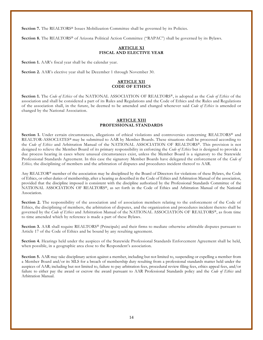Section 7. The REALTORS<sup>®</sup> Issues Mobilization Committee shall be governed by its Policies.

**Section 8.** The REALTORS® of Arizona Political Action Committee ("RAPAC") shall be governed by its Bylaws.

#### **ARTICLE XI FISCAL AND ELECTIVE YEAR**

**Section 1.** AAR's fiscal year shall be the calendar year.

**Section 2.** AAR's elective year shall be December 1 through November 30.

#### **ARTICLE XII CODE OF ETHICS**

**Section 1.** The *Code of Ethics* of the NATIONAL ASSOCIATION OF REALTORS®, is adopted as the *Code of Ethics* of the association and shall be considered a part of its Rules and Regulations and the Code of Ethics and the Rules and Regulations of the association shall, in the future, be deemed to be amended and changed whenever said *Code of Ethics* is amended or changed by the National Association.

#### **ARTICLE XIII PROFESSIONAL STANDARDS**

Section 1. Under certain circumstances, allegations of ethical violations and controversies concerning REALTORS<sup>®</sup> and REALTOR-ASSOCIATES® may be submitted to AAR by Member Boards. These situations shall be processed according to the *Code of Ethics* and Arbitration Manual of the NATIONAL ASSOCIATION OF REALTORS ®. This provision is not designed to relieve the Member Board of its primary responsibility in enforcing the *Code of Ethics* but is designed to provide a due process hearing in cases where unusual circumstances exist, unless the Member Board is a signatory to the Statewide Professional Standards Agreement. In this case the signatory Member Boards have delegated the enforcement of the *Code of Ethics,* the disciplining of members and the arbitration of disputes and procedures incident thereof to AAR.

Any REALTOR® member of the association may be disciplined by the Board of Directors for violations of these Bylaws, the Code of Ethics, or other duties of membership, after a hearing as described in the Code of Ethics and Arbitration Manual of the association, provided that the discipline imposed is consistent with the discipline authorized by the Professional Standards Committee of the NATIONAL ASSOCIATION OF REALTORS®, as set forth in the Code of Ethics and Arbitration Manual of the National Association.

**Section 2.** The responsibility of the association and of association members relating to the enforcement of the Code of Ethics, the disciplining of members, the arbitration of disputes, and the organization and procedures incident thereto shall be governed by the *Code of Ethics* and Arbitration Manual of the NATIONAL ASSOCIATION OF REALTORS®, as from time to time amended which by reference is made a part of these Bylaws.

**Section 3.** AAR shall require REALTORS® (Principals) and their firms to mediate otherwise arbitrable disputes pursuant to Article 17 of the Code of Ethics and be bound by any resulting agreement.

**Section 4.** Hearings held under the auspices of the Statewide Professional Standards Enfor cement Agreement shall be held, when possible, in a geographic area close to the Respondent's association.

**Section 5.** AAR may take disciplinary action against a member, including but not limited to, suspending or expelling a member from a Member Board and/or its MLS for a breach of membership duty resulting from a professional standards matter held under the auspices of AAR; including but not limited to, failure to pay arbitration fees, procedural review filing fees, ethics appeal fees, and/or failure to either pay the award or escrow the award pursuant to AAR Professional Standards policy and the *Code of Ethics* and Arbitration Manual.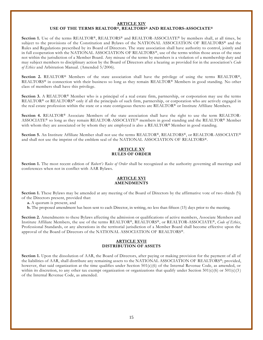#### **ARTICLE XIV USE OF THE TERMS REALTOR®, REALTORS® AND REALTORS-ASSOCIATE®**

Section 1. Use of the terms REALTOR®, REALTORS® and REALTOR-ASSOCIATE® by members shall, at all times, be subject to the provisions of the Constitution and Bylaws of the NATIONAL ASSOCIATION OF REALTORS® and the Rules and Regulations prescribed by its Board of Directors. The state association shall have authority to control, jointly and in full cooperation with the NATIONAL ASSOCIATION OF REALTORS®, use of the terms within those areas of the state not within the jurisdiction of a Member Board. Any misuse of the terms by members is a violation of a membership duty and may subject members to disciplinary action by the Board of Directors after a hearing as provided for in the association's *Code of Ethics* and Arbitration Manual. (Amended 5/2006).

**Section 2.** REALTOR® Members of the state association shall have the privilege of using the terms REALTOR®, REALTORS® in connection with their business so long as they remain REALTOR® Members in good standing. No other class of members shall have this privilege.

**Section 3.** A REALTOR® Member who is a principal of a real estate firm, partnership, or corporation may use the terms REALTOR<sup>®</sup> or REALTORS<sup>®</sup> only if all the principals of such firm, partnership, or corporation who are actively engaged in the real estate profession within the state or a state contiguous thereto are REALTOR® or Institute Affiliate Members.

**Section 4.** REALTOR® Associate Members of the state association shall have the right to use the term REALTOR-ASSOCIATE® so long as they remain REALTOR-ASSOCIATE® members in good standing and the REALTOR® Member with whom they are associated or by whom they are employed is also a REALTOR® Member in good standing.

**Section 5.** An Institute Affiliate Member shall not use the terms REALTOR®, REALTORS®, or REALTOR-ASSOCIATE® and shall not use the imprint of the emblem seal of the NATIONAL ASSOCIATION OF REALTORS®.

#### **ARTICLE XV RULES OF ORDER**

Section 1. The most recent edition of *Robert's Rules of Order* shall be recognized as the authority governing all meetings and conferences when not in conflict with AAR Bylaws.

#### **ARTICLE XVI AMENDMENTS**

**Section 1.** These Bylaws may be amended at any meeting of the Board of Directors by the affirmative vote of two -thirds (⅔) of the Directors present, provided that:

**a.** A quorum is present, and

**b.** The proposed amendment has been sent to each Director, in writing, no less than fifteen (15) days prior to the meeting.

**Section 2.** Amendments to these Bylaws affecting the admission or qualifications of active members, Associate Members and Institute Affiliate Members, the use of the terms REALTOR®, REALTORS ®, or REALTOR-ASSOCIATE®, *Code of Ethics*, Professional Standards, or any alterations in the territorial jurisdiction of a Member Board shall become effective upon the approval of the Board of Directors of the NATIONAL ASSOCIATION OF REALTORS ®.

#### **ARTICLE XVII DISTRIBUTION OF ASSETS**

**Section 1.** Upon the dissolution of AAR, the Board of Directors, after paying or making provision for the payment of all of the liabilities of AAR, shall distribute any remaining assets to the NATIONAL ASSOCIATION OF REALTORS®; provided, however, that said organization at the time qualifies under Section 501(c)(6) of the Internal Revenue Code, as amended, or within its discretion, to any other tax exempt organization or organizations that qualify under Section  $501(c)(6)$  or  $501(c)(3)$ of the Internal Revenue Code, as amended.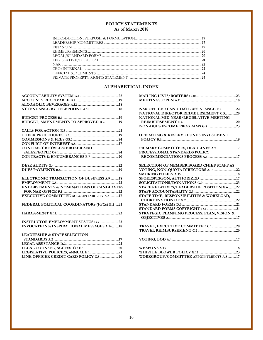# **POLICY STATEMENTS As of March 2018**

| CEO/INTERNAL 222 |  |
|------------------|--|
|                  |  |
|                  |  |
|                  |  |

# **ALPHABETICAL INDEX**

| BUDGET, AMENDMENTS TO APPROVED B.219                |
|-----------------------------------------------------|
|                                                     |
|                                                     |
|                                                     |
|                                                     |
| <b>CONTRACT BETWEEN BROKER AND</b>                  |
|                                                     |
|                                                     |
|                                                     |
|                                                     |
|                                                     |
|                                                     |
| ELECTRONIC TRANSACTION OF BUSINESS A.9 18           |
|                                                     |
| <b>ENDORSEMENTS &amp; NOMINATIONS OF CANDIDATES</b> |
|                                                     |
| <b>EXECUTIVE COMMITTEE ACCOUNTABILITY A.3  17</b>   |
|                                                     |
| FEDERAL POLITICAL COORDINATORS (FPCs) E.221         |
|                                                     |
|                                                     |
| <b>INSTRUCTOR EMPLOYMENT STATUS G.7  23</b>         |
| INVOCATIONS/INSPIRATIONAL MESSAGES A.14 18          |
|                                                     |
| <b>LEADERSHIP &amp; STAFF SELECTION</b>             |
|                                                     |

| NAR OFFICER CANDIDATE ASSISTANCE F.2 22         |  |
|-------------------------------------------------|--|
| NATIONAL DIRECTOR REIMBURSEMENT C.320           |  |
| NATIONAL MID-YEAR/LEGISLATIVE MEETING           |  |
|                                                 |  |
|                                                 |  |
| <b>OPERATING &amp; RESERVE FUNDS INVESTMENT</b> |  |
|                                                 |  |
| PRIMARY COMMITTEES, DEADLINES A.7 17            |  |
| PROFESSIONAL STANDARDS POLICY                   |  |
|                                                 |  |
| <b>SELECTION OF MEMBER BOARD CHIEF STAFF AS</b> |  |
|                                                 |  |
|                                                 |  |
|                                                 |  |
|                                                 |  |
| STAFF RELATIVES/LEADERSHIP POSITION G.6 22      |  |
|                                                 |  |
| STAFF TIME, RESPONSIBILITIES & WORKLOAD,        |  |
|                                                 |  |
|                                                 |  |
|                                                 |  |
| STRATEGIC PLANNING PROCESS: PLAN, VISION &      |  |
|                                                 |  |
|                                                 |  |
|                                                 |  |
|                                                 |  |
|                                                 |  |
|                                                 |  |
| <b>WORKGROUP/COMMITTEE APPOINTMENTS A.517</b>   |  |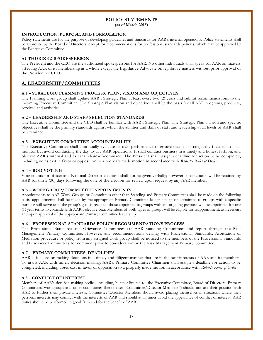#### **POLICY STATEMENTS (as of March 2018)**

#### **INTRODUCTION, PURPOSE, AND FORMULATION**

Policy statements are for the purpose of developing guidelines and standards for AAR's internal operations. Policy statements shall be approved by the Board of Directors, except for recommendations for professional standards policies, which may be approved by the Executive Committee.

#### **AUTHORIZED SPOKESPERSON**

The President and the CEO are the authorized spokespersons for AAR. No other individuals shall speak for AAR on matters affecting AAR or its membership as a whole except the Legislative Advocate on legislative matters without prior approval of the President or CEO.

# **A. LEADERSHIP/COMMITTEES**

#### **A.1 – STRATEGIC PLANNING PROCESS: PLAN, VISION AND OBJECTIVES**

The Planning work group shall update AAR's Strategic Plan at least every two (2) years and submit recommendations to the incoming Executive Committee. The Strategic Plan vision and objectives shall be the basis for all AAR programs, products, services and activities.

#### **A.2 – LEADERSHIP AND STAFF SELECTION STANDARDS**

The Executive Committee and the CEO shall be familiar with AAR's Strategic Plan. The Strategic Plan's vision and specific objectives shall be the primary standards against which the abilities and skills of staff and leadership at all levels of AAR shall be examined.

#### **A.3 – EXECUTIVE COMMITTEE ACCOUNTABILITY**

The Executive Committee shall continually evaluate its own performance to ensure that it is strategically focused. It shall monitor but avoid conducting the day-to-day AAR operations. It shall conduct business in a timely and honest fashion, and observe AAR's internal and external chain-of-command. The President shall assign a deadline for action to be completed, including votes cast in favor or opposition to a properly made motion in accordance with *Robert's Rules of Order*.

#### **A.4 – BOD VOTING**

Vote counts for officer and National Director elections shall not be given verbally; however, exact counts will be retained by AAR for thirty (30) days following the date of the election for review upon request by any AAR member.

# **A.5 – WORKGROUP/COMMITTEE APPOINTMENTS**

Appointments to AAR Work Groups or Committees other than Standing and Primary Committees shall be made on the following basis: appointments shall be made by the appropriate Primary Committee leadership; those appointed to groups with a specific purpose will serve until the group's goal is reached; those appointed to groups with an on-going purpose will be appointed for one (1) year terms to coincide with AAR's elective year. Members of both types of groups will be eligible for reappointment, as necessary and upon approval of the appropriate Primary Committee leadership.

#### **A.6 – PROFESSIONAL STANDARDS POLICY RECOMMENDATIONS PROCESS**

The Professional Standards and Grievance Committees are AAR Standing Committees and report through the Risk Management Primary Committee. However, any recommendations dealing with Professional Standards, Arbitration or Mediation procedure or policy from any assigned work group shall be noticed to the members of the Professional Standards and Grievance Committees for comment prior to consideration by the Risk Management Primary Committee.

#### **A.7 – PRIMARY COMMITTEES; DEADLINES**

AAR is focused on making decisions in a timely and diligent manner that are in the best interests of AAR and its members. To assist AAR with timely decision making, AAR's Primary Committee Chairmen shall assign a deadline for action to be completed, including votes cast in favor or opposition to a properly made motion in accordance with *Roberts Rules of Order*.

#### **A.8 – CONFLICT OF INTEREST**

Members of AAR's decision making bodies, including, but not limited to, the Executive Committee, Board of Directors, Primary Committees, workgroups and other committees (hereinafter "Committee/Director Members") should not use their position with AAR to further their private interests. Committee/Director Members should avoid placing themselves in situations where their personal interests may conflict with the interests of AAR and should at all times avoid the appearance of conflict of interest. AAR duties should be performed in good faith and for the benefit of AAR.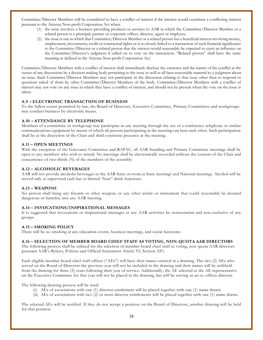Committee/Director Members will be considered to have a conflict of interest if the interest would constitute a conflicting interest pursuant to the Arizona Non-profit Corporation Act when:

- (1) the issue involves a business providing products or services to AAR in which the Committee/Director Member or a related person is a principal, partner or corporate officer, director, agent or employee.
- (2) the issue is one in which that Committee/Director Member or a related person has a beneficial interest involving money, employment, investments, credit or contractual rights or is so closely linked to a transaction of such financial significance to the Committee/Director or a related person that the interest would reasonably be expected to exert an influence on the Committee/Director's judgment if called on to vote on the transaction. "Related person" shall have the same meaning as defined in the Arizona Non-profit Corporation Act.

Committee/Director Members with a conflict of interest shall immediately disclose the existence and the nature of the conflict at the outset of any discussions by a decision making body pertaining to the issue as well as all facts reasonably material to a judgment about an issue. Such Committee/Director Members may not participate in the discussion relating to that issue other than to respond to questions asked of them by other Committee/Director Members of the body. Committee/Director Members with a conflict of interest may not vote on any issue in which they have a conflict of interest, and should not be present when the vote on the issue is taken.

# **A.9 – ELECTRONIC TRANSACTION OF BUSINESS**

To the fullest extent permitted by law, the Board of Directors, Executive Committee, Primary Committees and workgroups may conduct business by electronic means.

#### **A.10 – ATTENDANCE BY TELEPHONE**

Members of a committee or workgroup may participate in any meeting through the use of a conference telephone or similar communications equipment by means of which all persons participating in the meeting can hear each other. Such participation shall be at the discretion of the Chair and shall constitute presence at the meeting.

#### **A.11 – OPEN MEETINGS**

With the exception of the Grievance Committee and RAPAC, all AAR Standing and Primary Committee meetings shall be open to any members who wish to attend. No meetings shall be electronically recorded without the consent of the Chair and concurrence of two-thirds (⅔) of the members of the assembly

#### **A.12 – ALCOHOLIC BEVERAGES**

AAR will not provide alcoholic beverages in the AAR Suite or room at State meetings and National meetings. Alcohol will be served only at supervised cash bar or limited "host" drink functions.

#### **A.13 – WEAPONS**

No person shall bring any firearm or other weapon, or any other article or instrument that could reasonably be deemed dangerous or harmful, into any AAR meeting.

#### **A.14 – INVOCATIONS/INSPIRATIONAL MESSAGES**

It is suggested that invocations or inspirational messages at any AAR activities be nonsectarian and non-exclusive of any groups.

#### **A.15 – SMOKING POLICY**

There will be no smoking at any education events, business meetings, and social functions.

#### **A.16 – SELECTION OF MEMBER BOARD CHIEF STAFF AS VOTING, NON-QUOTA AAR DIRECTORS**

The following process shall be utilized for the selection of member board chief staff as voting, non -quota AAR directors pursuant AAR's Bylaws, Policies and Official Statements Article VI, Section 3(F):

Each eligible member board chief staff officer ("AEs") will have their names entered in a drawing. The two (2) AEs who served on the Board of Directors the previous year will not be included in the drawing and their names will be withheld from the drawing for three (3) years following their year of servic e. Additionally, the AE selected as the AE representative on the Executive Committee for that year will not be placed in the drawing, but will be serving as an ex -officio director.

The following drawing process will be used:

- (i) AEs of associations with one (1) director entitlement will be placed together with one (1) name drawn.
- (ii) AEs of associations with two (2) or more director entitlements will be placed together with one (1) name drawn.

The selected AEs will be notified. If they do not accept a position on the Board of Directors, another drawing will be held for that position.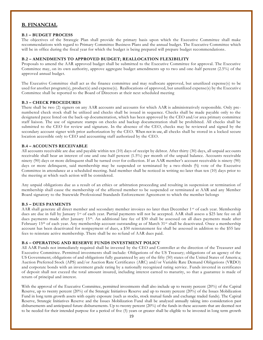# **B. FINANCIAL**

#### **B.1 – BUDGET PROCESS**

The objectives of the Strategic Plan shall provide the primary basis upon which the Executive Committee shall make recommendations with regard to Primary Committee Business Plans and the annual budget. The Executive Committee which will be in office during the fiscal year for which the budget is being prepared will prepare budget recommendations.

#### **B.2 – AMENDMENTS TO APPROVED BUDGET; REALLOCATION FLEXIBILITY**

Proposals to amend the AAR approved budget shall be submitted to the Executive Committee for approval. The Executive Committee may, on its own authority, approve aggregate budget amendments up to two and one -half percent (2.5%) of the approved annual budget.

The Executive Committee shall act as the finance committee and may reallocate approved, but unutilized expense(s) to be used for another program(s), product(s) and expense(s). Reallocations of approved, but unutilized expense(s) by the Executiv e Committee shall be reported to the Board of Directors at their next scheduled meeting

#### **B.3 – CHECK PROCEDURES**

There shall be two (2) signers on any AAR accounts and accounts for which AAR is administratively responsible. Only prenumbered check stock shall be utilized and checks shall be issued in sequence. Checks shall be made payable only to the designated payee listed on the back-up documentation, which has been approved by the CEO and/or area primary committee staff liaison. The use of signature stamps on checks and backup documentation shall be prohibited. All checks shall be submitted to the CEO for review and signature. In the absence of the CEO, checks may be reviewed and signed by the secondary account signer with prior authorization by the CEO. When not in use, all checks shall be stored in a locked secure location accessible only to CEO and accounting staff authorized by the CEO.

#### **B.4 – ACCOUNTS RECEIVABLE**

All accounts receivable are due and payable within ten (10) days of receipt by debtor. After thirty (30) days, all unpaid acc ounts receivable shall bear an interest of one and one-half percent (1.5%) per month of the unpaid balance. Accounts receivable ninety (90) days or more delinquent shall be turned over for collection. If an AAR member's account receivable is ninety (90) days or more delinquent, said membership may be suspended or terminated by a two-thirds (⅔) vote of the Executive Committee in attendance at a scheduled meeting. Said member shall be noticed in writing no later than ten (10) days prior to the meeting at which such action will be considered.

Any unpaid obligations due as a result of an ethics or arbitration proceeding and resulting in suspension or termination of membership shall cause the membership of the affected member to be suspended or terminated at AAR and any Member Board signatory to the Statewide Professional Standards Enforcement Agreement to which the member belongs

#### **B.5 – DUES PAYMENTS**

AAR shall generate all direct member and secondary member invoices no later than December 1<sup>st</sup> of each year. Membership dues are due in full by January 1st of each year. Partial payments will not be accepted. AAR shall assess a \$25 late fee on all dues payments made after January 15<sup>th</sup>. An additional late fee of \$30 shall be assessed on all dues payments made after February 15<sup>th</sup> of each year. Any membership account outstanding as of March 31<sup>st</sup> shall be deactivated. Once a membership account has been deactivated for nonpayment of dues, a \$50 reinstatement fee shall be assessed in addition to the \$55 late fees to reinstate active membership. There shall be no refund of AAR dues paid.

#### **B.6 – OPERATING AND RESERVE FUNDS INVESTMENT POLICY**

All AAR Funds not immediately required shall be invested by the CEO and Controller at the direction of the Treasurer and Executive Committee. Permitted investments shall include: Obligations of the US Treasury; obligations of an agency of the US Government; obligations of and obligations fully guaranteed by any of the fifty (50) states of the United States of Americ a; Auction Preferred Stock (APS) and/or Auction Rate Certificates (ARC) and/or Variable Rate Demand Obligations (VRDO) and corporate bonds with an investment grade rating by a nationally recognized rating service . Funds invested in certificates of deposit shall not exceed the total amount insured, including interest earned to maturity, so that a guarantee is made of return of principal and interest.

With the approval of the Executive Committee, permitted investments shall also include up to twenty percent (20%) of the Capital Reserve, up to twenty percent (20%) of the Strategic Initiatives Reserve and up to twenty percent (20%) of the Issues Mobilization Fund in long term growth assets with equity exposure (such as stocks, stock mutual funds and exchange traded funds). The Capital Reserve, Strategic Initiatives Reserve and the Issues Mobilization Fund shall be analyzed annually taking into consideration past disbursements and anticipated future disbursements. Up to twenty percent (20%) of the funds in these accounts that are deemed not to be needed for their intended purpose for a period of five (5) years or greater shall be eligible to be invested in long term growth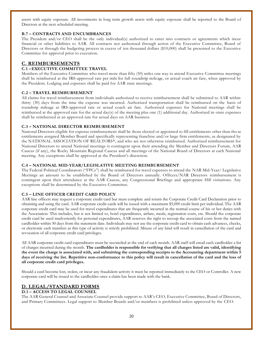assets with equity exposure. All investments in long term growth assets with equity exposure shall be reported to the Board of Directors at the next scheduled meeting.

#### **B.7 – CONTRACTS AND ENCUMBRANCES**

The President and/or CEO shall be the only individual(s) authorized to enter into contracts or agreements which incur financial or other liabilities to AAR. All contracts not authorized through action of the Executive Committee, Board of Directors or through the budgeting process in excess of ten thousand dollars (\$10,000) shall be presented to the Executive Committee for approval prior to execution.

# **C. REIMBURSEMENTS**

### **C.1 –EXECUTIVE COMMITTEE TRAVEL**

Members of the Executive Committee who travel more than fifty (50) miles one way to attend Executive Committee meetings shall be reimbursed at the IRS-approved rate per mile for full roundtrip mileage, or actual coach air fare, when approved by the President. Lodging and expenses shall be paid for AAR state meetings.

#### **C.2 – TRAVEL REIMBURSEMENT**

All claims for travel reimbursement from individuals authorized to receive reimbursement shall be submitted to AAR within thirty (30) days from the time the expense was incurred. Authorized transportation shall be reimbursed on the basis of roundtrip mileage at IRS-approved rate or actual coach air fare. Authorized expenses for National meetings shall be reimbursed at the approved rate for the actual day(s) of the meeting plus one (1) additional day. Authorized in -state expenses shall be reimbursed at an approved rate for actual days on AAR business

#### **C.3 – NATIONAL DIRECTOR REIMBURSEMENT**

National Directors eligible for expense reimbursement shall be those elected or appointed to fill entitlements other than tho se entitlements assigned Member Board and specifically representing franchise and/or large firm entitlements, as designated by the NATIONAL ASSOCIATION OF REALTORS®, and who are not otherwise reimbursed. Authorized reimbursement for National Directors to attend National meetings is contingent upon their attending the Member and Directors Forum, AAR Caucus (if any), the Rocky Mountain Regional Caucus and all meetings of the National Board of Directors at each National meeting. Any exceptions shall be approved at the President's discretion.

#### **C.4 – NATIONAL MID-YEAR/LEGISLATIVE MEETING REIMBURSEMENT**

The Federal Political Coordinators ("FPCs") shall be reimbursed for travel expenses to attend the NAR Mid-Year/ Legislative Meetings an amount to be established by the Board of Directors annually. Officers/NAR Directors reimbursement is contingent upon their attendance at the AAR Caucus, any Congressional Briefings and appropriate Hill visitations. Any exceptions shall be determined by the Executive Committee.

#### **C.5 – LINE OFFICER CREDIT CARD POLICY**

AAR line officers may request a corporate credit card but must complete and return the Corporate Credit Card Declaration prior to obtaining and using the card. AAR corporate credit cards will be issued with a maximum \$5,000 credit limit per individual. The AAR corporate credit card may be used for travel expenditures that are frequently incurred in the normal course of his or her duties with the Association. This includes, but is not limited to, hotel expenditures, airfare, meals, registration costs, etc. Should the corporate credit card be used inadvertently for personal expenditures, AAR reserves the right to recoup the associated costs from the named cardholder within 30 days from the statement date. Individuals may not use the corporate credit card to obtain cash advances, checks, or electronic cash transfers as this type of activity is strictly prohibited. Misuse of any kind will result in cancellation of the card and revocation of all corporate credit card privileges.

All AAR corporate credit card expenditures must be reconciled at the end of each month. AAR staff will email each cardholder a list of charges incurred during the month. **The cardholder is responsible for verifying that all charges listed are valid, identifying the event the charge is associated with, and submitting the corresponding receipts to the Accounting department within 5 days of receiving the list. Repetitive non-conformance to this policy will result in cancellation of the card and the loss of all corporate credit card privileges.**

Should a card become lost, stolen, or incur any fraudulent activity it must be reported immediately to the CEO or Controller. A new corporate card will be issued to the cardholder once a claim has been made with the bank.

# **D. LEGAL/STANDARD FORMS**

#### **D.1 – ACCESS TO LEGAL COUNSEL**

The AAR General Counsel and Associate Counsel provide support to AAR's CEO, Executive Committee, Board of Directors, and Primary Committees. Legal support to Member Boards and/or members is prohibited unless approved by the CEO.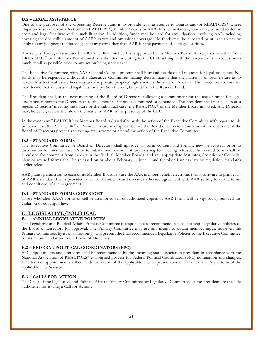#### **D.2 – LEGAL ASSISTANCE**

One of the purposes of the Operating Reserve fund is to provide legal assistance to Boards and/or REALTORS® where litigation arises that can affect other REALTORS®, Member Boards or AAR. In such instances, funds may be used to defray costs and legal fees involved in such litigation. In addition, funds may be used for any litigation involving AAR including covering the deductible amount of AAR's errors and omissions coverage. No funds may be allocated or utilized to pay or apply to any judgment rendered against any party other than AAR for the payment of damages or fines.

Any request for legal assistance by a REALTOR® must be first supported by his Member Board. All requests, whether from a REALTOR® or a Member Board, must be submitted in writing to the CEO, setting forth the purpose of the request in as much detail as possible prior to any action being undertaken.

The Executive Committee, with AAR General Counsel present, shall hear and decide on all requests for legal assistance. No funds may be expended without the Executive Committee making determination that the matter is of such nature as to adversely affect real estate licensees and/or private property rights within the state of Arizona. The Executive Committee may decide that all costs and legal fees, or a portion thereof, be paid from the Reserve Fund.

The President shall, at the next meeting of the Board of Directors, following a commitment for the use of funds for legal assistance, report to the Directors as to the amount of monies committed or expended. The President shall not discuss at a regular Directors' meeting the nature of the individual case, the REALTOR ® or the Member Board involved. Any Director may, however, review the file on the matter at AAR in the presence of the CEO.

In the event any REALTOR® or Member Board is dissatisfied with the action of the Executive Committee with regard to his or its request, the REALTOR® or Member Board may appear before the Board of Directors and a two-thirds (⅔) vote of the Board of Directors present and voting may reverse or amend the action of the Executive Committee.

#### **D.3 – STANDARD FORMS**

The Executive Committee or Board of Directors shall approve all form content and format, new or revised, prior to distribution for member use. Prior to substantive revision of any existing form being released, the revised form shall be circulated for comment from experts in the field, all Member Boards, and any appropriate Institutes, Societies or Councils. New or revised forms shall be released on or about February 1, June 1 and October 1 unless law or regulation mandates earlier release.

AAR grants permission to each of its Member Boards to use the AAR member benefit electronic forms software to print each of AAR's standard forms provided that the Member Board executes a license agreement with AAR setting forth the terms and conditions of such agreement.

#### **D.4 – STANDARD FORMS COPYRIGHT**

Those who alter AAR's forms or sell or attempt to sell unauthorized copies of AAR forms will be vigorously pursued for violation of copyright law.

# **E. LEGISLATIVE/POLITICAL**

#### **E.1 – ANNUAL LEGISLATIVE POLICIES**

The Legislative and Political Affairs Primary Committee is responsible to recommend subsequent year's legislative policies to the Board of Directors for approval. The Primary Committee may use any means to obtain member input; however, the Primary Committee, by its own motion(s), will present the final recommended Legislative Policies to the Executive Committee for its recommendation to the Board of Directors.

#### **E.2 – FEDERAL POLITICAL COORDINATORS (FPC)**

FPC appointments and alternates shall be recommended by the incoming state association president in accordance with the National Association of REALTORS® established process for Federal Political Coordinator (FPC) nomination and changes. FPC term of appointment shall coincide with term of the applicable U.S. Representative or for one-half  $\binom{1}{2}$  the term of the applicable U.S. Senator.

#### **E.3 – CALLS FOR ACTION**

The Chair of the Legislative and Political Affairs Primary Committee, or Legislative Committee, or the President are the sole authorities for issuing a Call for Action**.**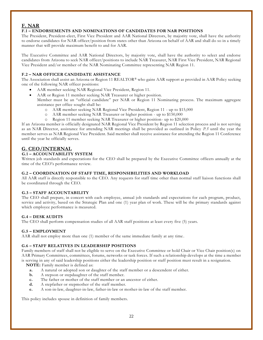# **F. NAR**

#### **F.1 – ENDORSEMENTS AND NOMINATIONS OF CANDIDATES FOR NAR POSITIONS**

The President, President-elect, First Vice President and AAR National Directors, by majority vote, shall have the authority to endorse candidates for NAR officer/position from states other than Arizona on behalf of AAR and shall do so in a timely manner that will provide maximum benefit to and for AAR.

The Executive Committee and AAR National Directors, by majority vote, shall have the authority to select and endorse candidates from Arizona to seek NAR officer/positions to include NAR Treasurer, NAR First Vice President, NAR Regional Vice President and/or member of the NAR Nominating Committee representing NAR Region 11.

# **F.2 – NAR OFFICER CANDIDATE ASSISTANCE**

The Association shall assist an Arizona or Region 11 REALTOR® who gains AAR support as provided in AAR Policy seeking one of the following NAR officer positions:

- AAR member seeking NAR Regional Vice President, Region 11.
- AAR or Region 11 member seeking NAR Treasurer or higher position.

Member must be an "official candidate" per NAR or Region 11 Nominating process. The maximum aggregate assistance per office sought shall be:

- o AAR member seeking NAR Regional Vice President, Region 11 up to \$15,000
- o AAR member seeking NAR Treasurer or higher position up to \$150,000
- o Region 11 member seeking NAR Treasurer or higher position- up to \$20,000

If an Arizona member is officially designated NAR Regional Vice President by Region 11 selection process and is not serving as an NAR Director, assistance for attending NAR meetings shall be provided as outlined in Policy *P.5* until the year the member serves as NAR Regional Vice President. Said member shall receive assistance for attending the Region 11 Conference until the year he officially serves.

# **G. CEO/INTERNAL**

### **G.1 – ACCOUNTABILITY SYSTEM**

Written job standards and expectations for the CEO shall be prepared by the Executive Committee officers annually at the time of the CEO's performance review.

#### **G.2 – COORDINATION OF STAFF TIME, RESPONSIBILITIES AND WORKLOAD**

All AAR staff is directly responsible to the CEO. Any requests for staff time other than normal staff liaison functions shall be coordinated through the CEO.

#### **G.3 – STAFF ACCOUNTABILITY**

The CEO shall prepare, in concert with each employee, annual job standards and expectations for each program, product, service and activity, based on the Strategic Plan and one (1) year plan of work. These will be the primary standards against which employee performance is measured.

#### **G.4 – DESK AUDITS**

The CEO shall perform compensation studies of all AAR staff positions at least every five (5) years.

#### **G.5 – EMPLOYMENT**

AAR shall not employ more than one (1) member of the same immediate family at any time .

#### **G.6 – STAFF RELATIVES IN LEADERSHIP POSITIONS**

Family members of staff shall not be eligible to serve on the Executive Committee or hold Chair or Vice Chair position(s) on AAR Primary Committees, committees, forums, networks or task forces. If such a re lationship develops at the time a member is serving in any of said leadership positions either the leadership position or staff position must result in a resignation.

**NOTE:** Family member is defined as:

- **a.** A natural or adopted son or daughter of the staff member or a descendent of either.
- **b.** A stepson or stepdaughter of the staff member.
- **c.** The father or mother of the staff member or an ancestor of either.
- **d.** A stepfather or stepmother of the staff member.
- **e.** A son-in-law, daughter-in-law, father-in-law or mother-in-law of the staff member.

This policy includes spouse in definition of family members.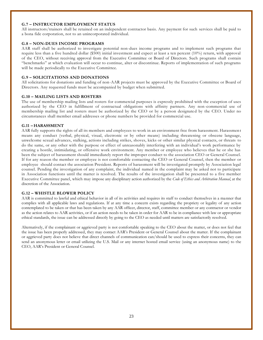### **G.7 – INSTRUCTOR EMPLOYMENT STATUS**

All instructors/trainers shall be retained on an independent contractor basis. Any payment for such services shall be paid to a bona fide corporation, not to an unincorporated individual.

#### **G.8 – NON-DUES INCOME PROGRAMS**

AAR staff shall be authorized to investigate potential non-dues income programs and to implement such programs that require less than a five hundred dollar (\$500) initial investment and expect at least a ten percent (10%) return, with approval of the CEO, without receiving approval from the Executive Committee or Board of Directors. Such programs shall contain "benchmarks" at which evaluation will occur to continue, alter or discontinue. Reports of implementation of such programs will be made periodically to the Executive Committee.

#### **G.9 – SOLICITATIONS AND DONATIONS**

All solicitations for donations and funding of non-AAR projects must be approved by the Executive Committee or Board of Directors. Any requested funds must be accompanied by budget when submitted.

#### **G.10 – MAILING LISTS AND ROSTERS**

The use of membership mailing lists and rosters for commercial purposes is expressly prohibited with the exception of uses authorized by the CEO in fulfillment of contractual obligations with affinity partners. Any non -commercial use of membership mailing list and rosters must be authorized by the CEO or by a person designated by the CEO. Under no circumstances shall member email addresses or phone numbers be provided for commercial use.

#### **G.11 – HARASSMENT**

AAR fully supports the rights of all its members and employees to work in an environment free from harassment. Harassment means any conduct (verbal, physical, visual, electronic or by other means) including threatening or obscene language, unwelcome sexual advances, stalking, actions including strikes, shoves, kicks or other similar physical contacts, or threats to do the same, or any other with the purpose or effect of unreasonably interfering with an individual's work performance by creating a hostile, intimidating, or offensive work environment. Any member or employee who believes that he or she has been the subject of harassment should immediately report the improper conduct to the association CEO or General Counsel. If for any reason the member or employee is not comfortable contacting the CEO or General Counsel, then the member or employee should contact the association President. Reports of harassment will be investigated promptly by Association legal counsel. Pending the investigation of any complaint, the individual named in the complaint may be asked not to participate in Association functions until the matter is resolved. The results of the investigation shall be presented to a five member Executive Committee panel, which may impose any disciplinary action authorized by the *Code of Ethics and Arbitration Manual*, at the discretion of the Association.

#### **G.12 – WHISTLE BLOWER POLICY**

AAR is committed to lawful and ethical behavior in all of its activities and requires its staff to conduct themselves in a manner that complies with all applicable laws and regulations. If at any time a concern exists regarding the propriety or legality of any action contemplated to be taken or that has been taken by any AAR officer, director, staff, committee member or any contractor or vendor as the action relates to AAR activities, or if an action needs to be taken in order for AAR to be in compliance with law or appropriate ethical standards, the issue can be addressed directly by going to the CEO as needed until matters are satisfactorily resolved.

Alternatively, if the complainant or aggrieved party is not comfortable speaking to the CEO about the matter, or does not feel that the issue has been properly addressed, they may contact AAR's President or General Counsel about the matter. If the complainant or aggrieved party does not believe that direct channels of communication can/should be used to express their concerns, they can send an anonymous letter or email utilizing the U.S. Mail or any internet hosted email service (using an anonymous name) to the CEO, AAR's President or General Counsel.